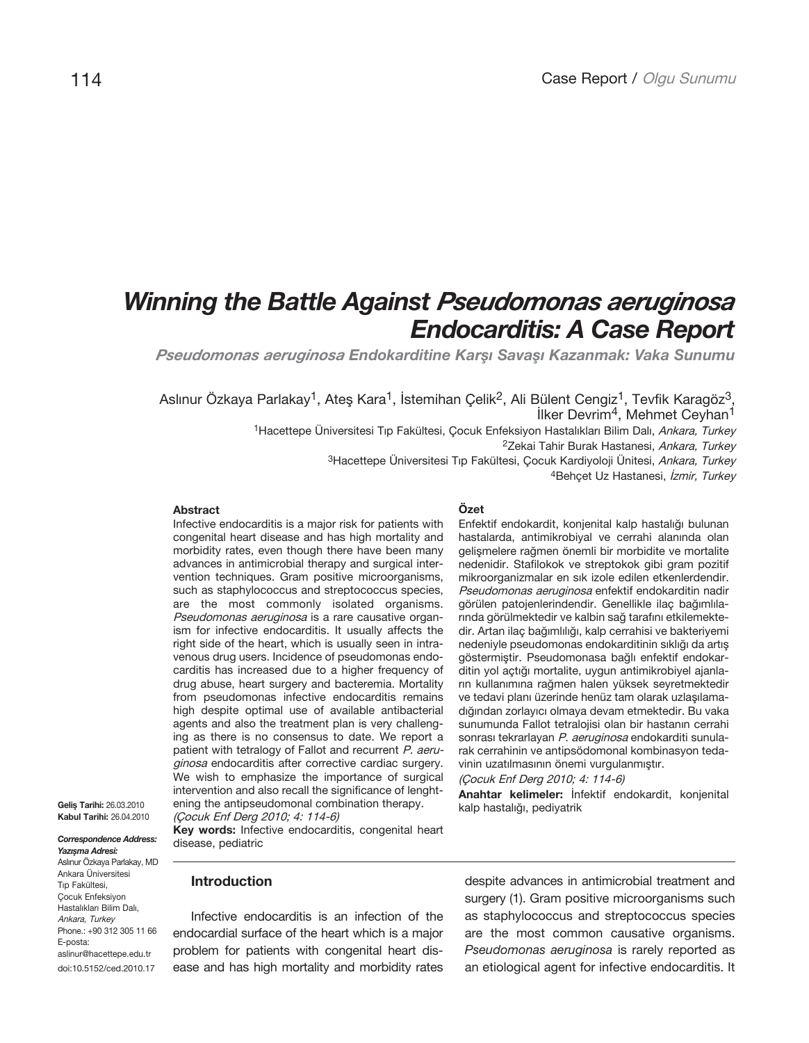# *Winning the Battle Against Pseudomonas aeruginosa Endocarditis: A Case Report*

*Pseudomonas aeruginosa Endokarditine Karşı Savaşı Kazanmak: Vaka Sunumu*

Aslınur Özkaya Parlakay<sup>1</sup>, Ateş Kara<sup>1</sup>, İstemihan Çelik<sup>2</sup>, Ali Bülent Cengiz<sup>1</sup>, Tevfik Karagöz<sup>3</sup>, İlker Devrim4, Mehmet Ceyhan1

1Hacettepe Üniversitesi Tıp Fakültesi, Cocuk Enfeksiyon Hastalıkları Bilim Dalı, Ankara, Turkey <sup>2</sup>Zekai Tahir Burak Hastanesi, Ankara, Turkey <sup>3</sup>Hacettepe Üniversitesi Tıp Fakültesi, Cocuk Kardiyoloji Ünitesi, Ankara, Turkey 4Behçet Uz Hastanesi, İzmir, Turkey

#### **Abstract**

Infective endocarditis is a major risk for patients with congenital heart disease and has high mortality and morbidity rates, even though there have been many advances in antimicrobial therapy and surgical intervention techniques. Gram positive microorganisms, such as staphylococcus and streptococcus species, are the most commonly isolated organisms. Pseudomonas aeruginosa is a rare causative organism for infective endocarditis. It usually affects the right side of the heart, which is usually seen in intravenous drug users. Incidence of pseudomonas endocarditis has increased due to a higher frequency of drug abuse, heart surgery and bacteremia. Mortality from pseudomonas infective endocarditis remains high despite optimal use of available antibacterial agents and also the treatment plan is very challenging as there is no consensus to date. We report a patient with tetralogy of Fallot and recurrent P. aeruginosa endocarditis after corrective cardiac surgery. We wish to emphasize the importance of surgical intervention and also recall the significance of lenghtening the antipseudomonal combination therapy.

**Geliş Tarihi:** 26.03.2010 **Kabul Tarihi:** 26.04.2010

**11** doi:10.5152/ced.2010.17 *Correspondence Address: Yazışma Adresi:* Aslınur Özkaya Parlakay, MD Ankara Üniversitesi Tıp Fakültesi, Çocuk Enfeksiyon Hastalıkları Bilim Dalı, Ankara, Turkey Phone.: +90 312 305 11 66 E-posta: aslinur@hacettepe.edu.tr

(Çocuk Enf Derg 2010; 4: 114-6) **Key words:** Infective endocarditis, congenital heart

# disease, pediatric

**Introduction**

Infective endocarditis is an infection of the endocardial surface of the heart which is a major problem for patients with congenital heart disease and has high mortality and morbidity rates

## **Özet**

Enfektif endokardit, konjenital kalp hastalığı bulunan hastalarda, antimikrobiyal ve cerrahi alanında olan gelişmelere rağmen önemli bir morbidite ve mortalite nedenidir. Stafilokok ve streptokok gibi gram pozitif mikroorganizmalar en sık izole edilen etkenlerdendir. Pseudomonas aeruginosa enfektif endokarditin nadir görülen patojenlerindendir. Genellikle ilaç bağımlılarında görülmektedir ve kalbin sağ tarafını etkilemektedir. Artan ilaç bağımlılığı, kalp cerrahisi ve bakteriyemi nedeniyle pseudomonas endokarditinin sıklığı da artış göstermiştir. Pseudomonasa bağlı enfektif endokarditin yol açtığı mortalite, uygun antimikrobiyel ajanların kullanımına rağmen halen yüksek seyretmektedir ve tedavi planı üzerinde henüz tam olarak uzlaşılamadığından zorlayıcı olmaya devam etmektedir. Bu vaka sunumunda Fallot tetralojisi olan bir hastanın cerrahi sonrası tekrarlayan P. aeruginosa endokarditi sunularak cerrahinin ve antipsödomonal kombinasyon tedavinin uzatılmasının önemi vurgulanmıştır.

(Çocuk Enf Derg 2010; 4: 114-6)

**Anahtar kelimeler:** İnfektif endokardit, konjenital kalp hastalığı, pediyatrik

despite advances in antimicrobial treatment and surgery (1). Gram positive microorganisms such as staphylococcus and streptococcus species are the most common causative organisms. Pseudomonas aeruginosa is rarely reported as an etiological agent for infective endocarditis. It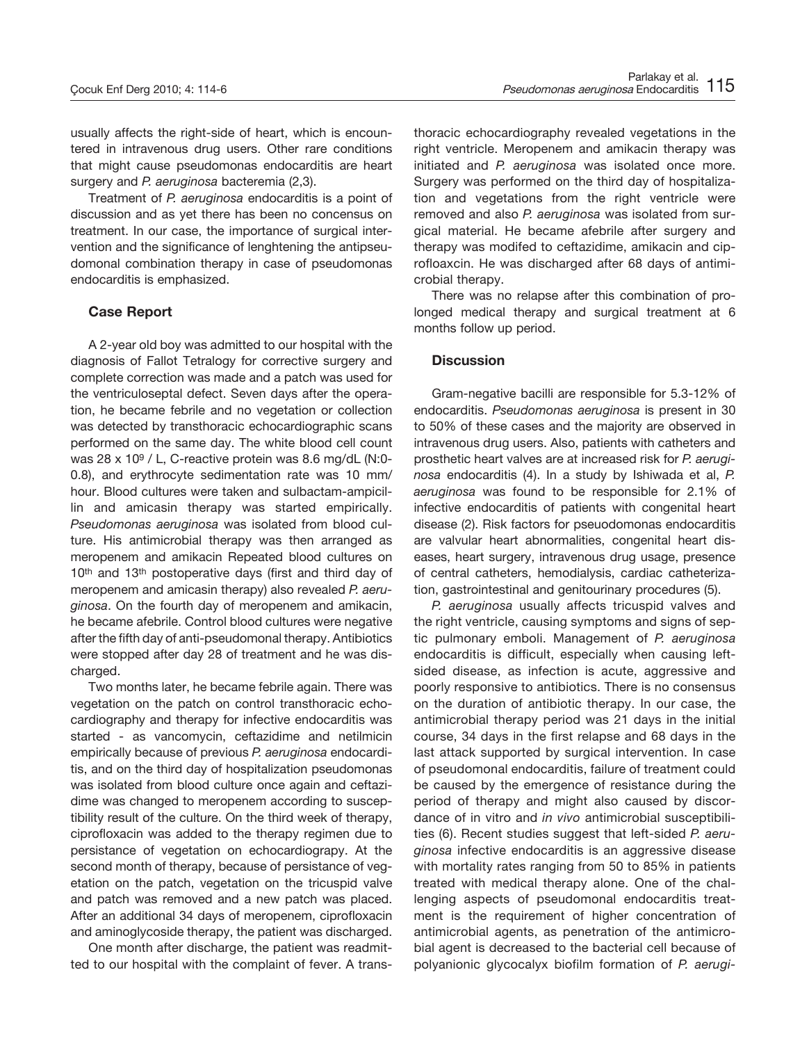usually affects the right-side of heart, which is encountered in intravenous drug users. Other rare conditions that might cause pseudomonas endocarditis are heart surgery and P. aeruginosa bacteremia (2,3).

Treatment of P. aeruginosa endocarditis is a point of discussion and as yet there has been no concensus on treatment. In our case, the importance of surgical intervention and the significance of lenghtening the antipseudomonal combination therapy in case of pseudomonas endocarditis is emphasized.

#### **Case Report**

A 2-year old boy was admitted to our hospital with the diagnosis of Fallot Tetralogy for corrective surgery and complete correction was made and a patch was used for the ventriculoseptal defect. Seven days after the operation, he became febrile and no vegetation or collection was detected by transthoracic echocardiographic scans performed on the same day. The white blood cell count was 28 x 109 / L, C-reactive protein was 8.6 mg/dL (N:0- 0.8), and erythrocyte sedimentation rate was 10 mm/ hour. Blood cultures were taken and sulbactam-ampicillin and amicasin therapy was started empirically. Pseudomonas aeruginosa was isolated from blood culture. His antimicrobial therapy was then arranged as meropenem and amikacin Repeated blood cultures on 10<sup>th</sup> and 13<sup>th</sup> postoperative days (first and third day of meropenem and amicasin therapy) also revealed P. aeruginosa. On the fourth day of meropenem and amikacin, he became afebrile. Control blood cultures were negative after the fifth day of anti-pseudomonal therapy. Antibiotics were stopped after day 28 of treatment and he was discharged.

Two months later, he became febrile again. There was vegetation on the patch on control transthoracic echocardiography and therapy for infective endocarditis was started - as vancomycin, ceftazidime and netilmicin empirically because of previous P. aeruginosa endocarditis, and on the third day of hospitalization pseudomonas was isolated from blood culture once again and ceftazidime was changed to meropenem according to susceptibility result of the culture. On the third week of therapy, ciprofloxacin was added to the therapy regimen due to persistance of vegetation on echocardiograpy. At the second month of therapy, because of persistance of vegetation on the patch, vegetation on the tricuspid valve and patch was removed and a new patch was placed. After an additional 34 days of meropenem, ciprofloxacin and aminoglycoside therapy, the patient was discharged.

One month after discharge, the patient was readmitted to our hospital with the complaint of fever. A trans-

thoracic echocardiography revealed vegetations in the right ventricle. Meropenem and amikacin therapy was initiated and P. aeruginosa was isolated once more. Surgery was performed on the third day of hospitalization and vegetations from the right ventricle were removed and also P. aeruginosa was isolated from surgical material. He became afebrile after surgery and therapy was modifed to ceftazidime, amikacin and ciprofloaxcin. He was discharged after 68 days of antimicrobial therapy.

There was no relapse after this combination of prolonged medical therapy and surgical treatment at 6 months follow up period.

### **Discussion**

Gram-negative bacilli are responsible for 5.3-12% of endocarditis. Pseudomonas aeruginosa is present in 30 to 50% of these cases and the majority are observed in intravenous drug users. Also, patients with catheters and prosthetic heart valves are at increased risk for P. aeruginosa endocarditis (4). In a study by Ishiwada et al, P. aeruginosa was found to be responsible for 2.1% of infective endocarditis of patients with congenital heart disease (2). Risk factors for pseuodomonas endocarditis are valvular heart abnormalities, congenital heart diseases, heart surgery, intravenous drug usage, presence of central catheters, hemodialysis, cardiac catheterization, gastrointestinal and genitourinary procedures (5).

P. aeruginosa usually affects tricuspid valves and the right ventricle, causing symptoms and signs of septic pulmonary emboli. Management of P. aeruginosa endocarditis is difficult, especially when causing leftsided disease, as infection is acute, aggressive and poorly responsive to antibiotics. There is no consensus on the duration of antibiotic therapy. In our case, the antimicrobial therapy period was 21 days in the initial course, 34 days in the first relapse and 68 days in the last attack supported by surgical intervention. In case of pseudomonal endocarditis, failure of treatment could be caused by the emergence of resistance during the period of therapy and might also caused by discordance of in vitro and in vivo antimicrobial susceptibilities (6). Recent studies suggest that left-sided P. aeruginosa infective endocarditis is an aggressive disease with mortality rates ranging from 50 to 85% in patients treated with medical therapy alone. One of the challenging aspects of pseudomonal endocarditis treatment is the requirement of higher concentration of antimicrobial agents, as penetration of the antimicrobial agent is decreased to the bacterial cell because of polyanionic glycocalyx biofilm formation of P. aerugi